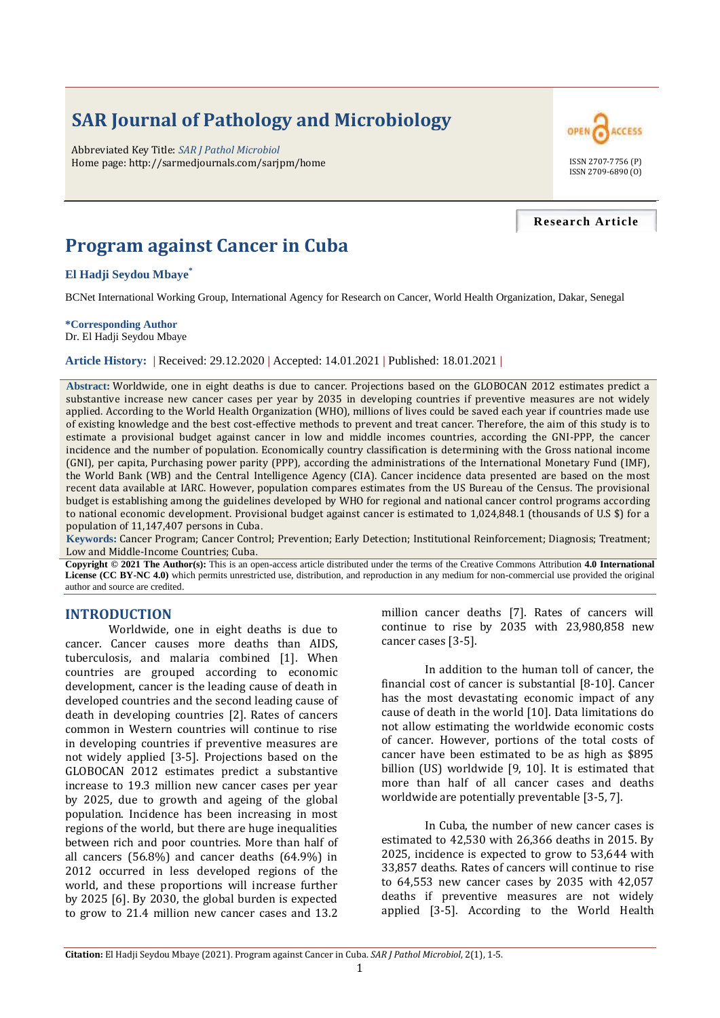# **SAR Journal of Pathology and Microbiology**

Abbreviated Key Title: *SAR J Pathol Microbiol* Home page: http://sarmedjournals.com/sarjpm/home ISSN 2707-7756 (P)



#### **Research Article**

# **Program against Cancer in Cuba**

#### **El Hadji Seydou Mbaye\***

BCNet International Working Group, International Agency for Research on Cancer, World Health Organization, Dakar, Senegal

#### **\*Corresponding Author** Dr. El Hadji Seydou Mbaye

**Article History: |** Received: 29.12.2020 **|** Accepted: 14.01.2021 **|** Published: 18.01.2021 **|**

**Abstract:** Worldwide, one in eight deaths is due to cancer. Projections based on the GLOBOCAN 2012 estimates predict a substantive increase new cancer cases per year by 2035 in developing countries if preventive measures are not widely applied. According to the World Health Organization (WHO), millions of lives could be saved each year if countries made use of existing knowledge and the best cost-effective methods to prevent and treat cancer. Therefore, the aim of this study is to estimate a provisional budget against cancer in low and middle incomes countries, according the GNI-PPP, the cancer incidence and the number of population. Economically country classification is determining with the Gross national income (GNI), per capita, Purchasing power parity (PPP), according the administrations of the International Monetary Fund (IMF), the World Bank (WB) and the Central Intelligence Agency (CIA). Cancer incidence data presented are based on the most recent data available at IARC. However, population compares estimates from the US Bureau of the Census. The provisional budget is establishing among the guidelines developed by WHO for regional and national cancer control programs according to national economic development. Provisional budget against cancer is estimated to 1,024,848.1 (thousands of U.S \$) for a population of 11,147,407 persons in Cuba.

**Keywords:** Cancer Program; Cancer Control; Prevention; Early Detection; Institutional Reinforcement; Diagnosis; Treatment; Low and Middle-Income Countries; Cuba.

**Copyright © 2021 The Author(s):** This is an open-access article distributed under the terms of the Creative Commons Attribution **4.0 International License (CC BY-NC 4.0)** which permits unrestricted use, distribution, and reproduction in any medium for non-commercial use provided the original author and source are credited.

#### **INTRODUCTION**

Worldwide, one in eight deaths is due to cancer. Cancer causes more deaths than AIDS, tuberculosis, and malaria combined [1]. When countries are grouped according to economic development, cancer is the leading cause of death in developed countries and the second leading cause of death in developing countries [2]. Rates of cancers common in Western countries will continue to rise in developing countries if preventive measures are not widely applied [3-5]. Projections based on the GLOBOCAN 2012 estimates predict a substantive increase to 19.3 million new cancer cases per year by 2025, due to growth and ageing of the global population. Incidence has been increasing in most regions of the world, but there are huge inequalities between rich and poor countries. More than half of all cancers (56.8%) and cancer deaths (64.9%) in 2012 occurred in less developed regions of the world, and these proportions will increase further by 2025 [6]. By 2030, the global burden is expected to grow to 21.4 million new cancer cases and 13.2

million cancer deaths [7]. Rates of cancers will continue to rise by 2035 with 23,980,858 new cancer cases [3-5].

In addition to the human toll of cancer, the financial cost of cancer is substantial [8-10]. Cancer has the most devastating economic impact of any cause of death in the world [10]. Data limitations do not allow estimating the worldwide economic costs of cancer. However, portions of the total costs of cancer have been estimated to be as high as \$895 billion (US) worldwide [9, 10]. It is estimated that more than half of all cancer cases and deaths worldwide are potentially preventable [3-5, 7].

In Cuba, the number of new cancer cases is estimated to 42,530 with 26,366 deaths in 2015. By 2025, incidence is expected to grow to 53,644 with 33,857 deaths. Rates of cancers will continue to rise to 64,553 new cancer cases by 2035 with 42,057 deaths if preventive measures are not widely applied [3-5]. According to the World Health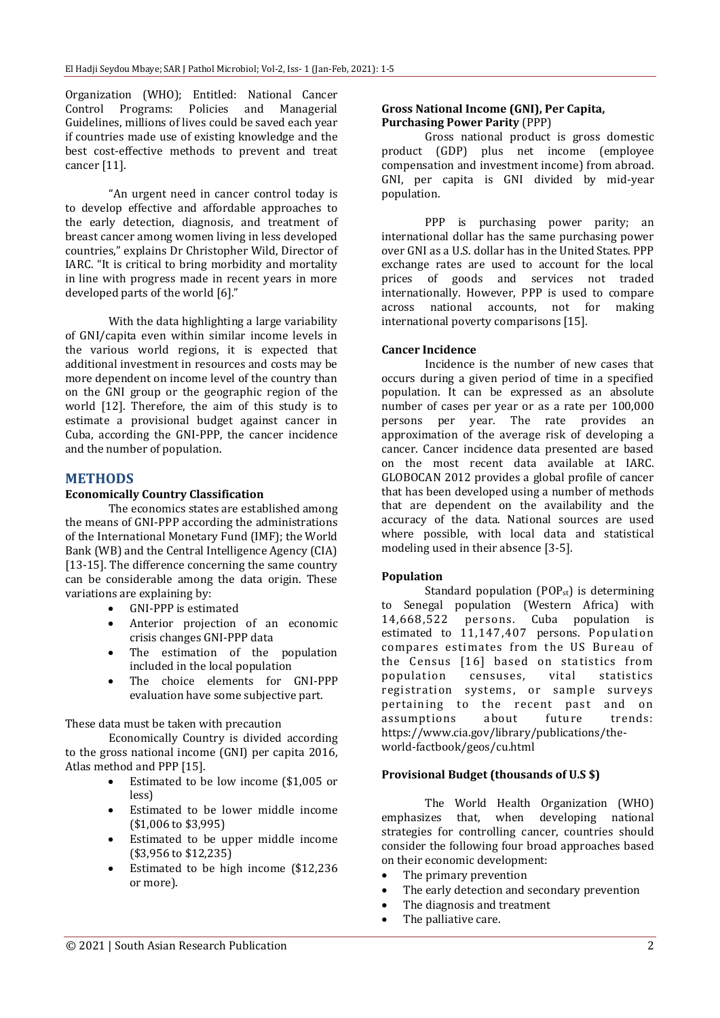Organization (WHO); Entitled: National Cancer Control Programs: Policies and Managerial Guidelines, millions of lives could be saved each year if countries made use of existing knowledge and the best cost-effective methods to prevent and treat cancer [11].

"An urgent need in cancer control today is to develop effective and affordable approaches to the early detection, diagnosis, and treatment of breast cancer among women living in less developed countries," explains Dr Christopher Wild, Director of IARC. "It is critical to bring morbidity and mortality in line with progress made in recent years in more developed parts of the world [6]."

With the data highlighting a large variability of GNI/capita even within similar income levels in the various world regions, it is expected that additional investment in resources and costs may be more dependent on income level of the country than on the GNI group or the geographic region of the world [12]. Therefore, the aim of this study is to estimate a provisional budget against cancer in Cuba, according the GNI-PPP, the cancer incidence and the number of population.

#### **METHODS**

#### **Economically Country Classification**

The economics states are established among the means of GNI-PPP according the administrations of the International Monetary Fund (IMF); the World Bank (WB) and the Central Intelligence Agency (CIA) [13-15]. The difference concerning the same country can be considerable among the data origin. These variations are explaining by:

- GNI-PPP is estimated
- Anterior projection of an economic crisis changes GNI-PPP data
- The estimation of the population included in the local population
- The choice elements for GNI-PPP evaluation have some subjective part.

#### These data must be taken with precaution

Economically Country is divided according to the gross national income (GNI) per capita 2016, Atlas method and PPP [15].

- Estimated to be low income (\$1,005 or less)
- Estimated to be lower middle income (\$1,006 to \$3,995)
- Estimated to be upper middle income (\$3,956 to \$12,235)
- Estimated to be high income (\$12,236 or more).

#### **Gross National Income (GNI), Per Capita, Purchasing Power Parity** (PPP)

Gross national product is gross domestic product (GDP) plus net income (employee compensation and investment income) from abroad. GNI, per capita is GNI divided by mid-year population.

PPP is purchasing power parity; an international dollar has the same purchasing power over GNI as a U.S. dollar has in the United States. PPP exchange rates are used to account for the local prices of goods and services not traded internationally. However, PPP is used to compare across national accounts, not for making international poverty comparisons [15].

#### **Cancer Incidence**

Incidence is the number of new cases that occurs during a given period of time in a specified population. It can be expressed as an absolute number of cases per year or as a rate per 100,000 persons per year. The rate provides an approximation of the average risk of developing a cancer. Cancer incidence data presented are based on the most recent data available at IARC. GLOBOCAN 2012 provides a global profile of cancer that has been developed using a number of methods that are dependent on the availability and the accuracy of the data. National sources are used where possible, with local data and statistical modeling used in their absence [3-5].

#### **Population**

Standard population  $(POP_{st})$  is determining to Senegal population (Western Africa) with 14,668,522 persons. Cuba population is estimated to 11,147,407 persons. Population compares estimates from the US Bureau of the Census [16] based on statistics from population censuses, vital statistics registration systems, or sample surveys pertaining to the recent past and on assumptions about future trends: https://www.cia.gov/library/publications/theworld-factbook/geos/cu.html

#### **Provisional Budget (thousands of U.S \$)**

The World Health Organization (WHO) emphasizes that, when developing national strategies for controlling cancer, countries should consider the following four broad approaches based on their economic development:

- The primary prevention
- The early detection and secondary prevention
- The diagnosis and treatment
- The palliative care.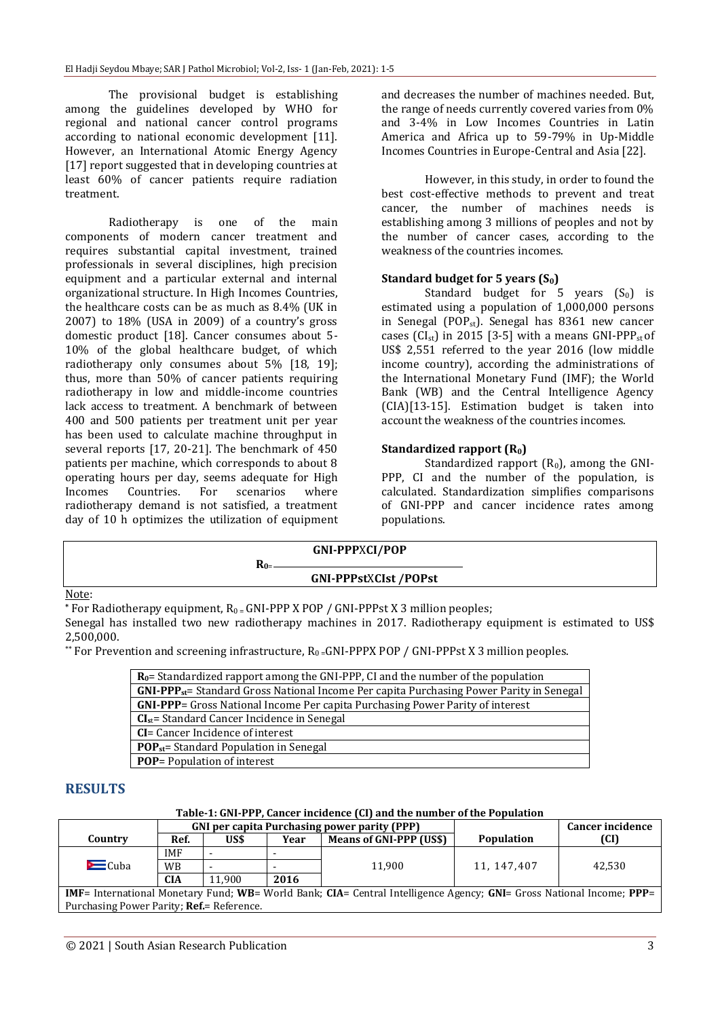The provisional budget is establishing among the guidelines developed by WHO for regional and national cancer control programs according to national economic development [11]. However, an International Atomic Energy Agency [17] report suggested that in developing countries at least 60% of cancer patients require radiation treatment.

Radiotherapy is one of the main components of modern cancer treatment and requires substantial capital investment, trained professionals in several disciplines, high precision equipment and a particular external and internal organizational structure. In High Incomes Countries, the healthcare costs can be as much as 8.4% (UK in 2007) to 18% (USA in 2009) of a country's gross domestic product [18]. Cancer consumes about 5- 10% of the global healthcare budget, of which radiotherapy only consumes about 5% [18, 19]; thus, more than 50% of cancer patients requiring radiotherapy in low and middle-income countries lack access to treatment. A benchmark of between 400 and 500 patients per treatment unit per year has been used to calculate machine throughput in several reports [17, 20-21]. The benchmark of 450 patients per machine, which corresponds to about 8 operating hours per day, seems adequate for High Incomes Countries. For scenarios where radiotherapy demand is not satisfied, a treatment day of 10 h optimizes the utilization of equipment and decreases the number of machines needed. But, the range of needs currently covered varies from 0% and 3-4% in Low Incomes Countries in Latin America and Africa up to 59-79% in Up-Middle Incomes Countries in Europe-Central and Asia [22].

However, in this study, in order to found the best cost-effective methods to prevent and treat cancer, the number of machines needs is establishing among 3 millions of peoples and not by the number of cancer cases, according to the weakness of the countries incomes.

#### **Standard budget for 5 years (S0)**

Standard budget for 5 years  $(S_0)$  is estimated using a population of 1,000,000 persons in Senegal (POPst). Senegal has 8361 new cancer cases ( $CI_{st}$ ) in 2015 [3-5] with a means GNI-PPP<sub>st</sub> of US\$ 2,551 referred to the year 2016 (low middle income country), according the administrations of the International Monetary Fund (IMF); the World Bank (WB) and the Central Intelligence Agency (CIA)[13-15]. Estimation budget is taken into account the weakness of the countries incomes.

#### **Standardized rapport (R0)**

Standardized rapport  $(R_0)$ , among the GNI-PPP, CI and the number of the population, is calculated. Standardization simplifies comparisons of GNI-PPP and cancer incidence rates among populations.

|       |  | <b>GNI-PPPXCI/POP</b>       |  |
|-------|--|-----------------------------|--|
|       |  | <b>GNI-PPPstXCIst/POPst</b> |  |
| Note: |  |                             |  |

\* For Radiotherapy equipment,  $R_0 = GNI-PPPX POP / GNI-PPPstX3$  million peoples;

Senegal has installed two new radiotherapy machines in 2017. Radiotherapy equipment is estimated to US\$ 2,500,000.

\*\* For Prevention and screening infrastructure,  $R_0 = GNI-PPPX$  POP / GNI-PPPst X 3 million peoples.

| $R_0$ = Standardized rapport among the GNI-PPP, CI and the number of the population         |
|---------------------------------------------------------------------------------------------|
| $GNI-PPP_{st}$ Standard Gross National Income Per capita Purchasing Power Parity in Senegal |
| <b>GNI-PPP</b> = Gross National Income Per capita Purchasing Power Parity of interest       |
| $CIst$ = Standard Cancer Incidence in Senegal                                               |
| <b>CI</b> = Cancer Incidence of interest                                                    |
| <b>POP<sub>st</sub>=</b> Standard Population in Senegal                                     |
| <b>POP</b> = Population of interest                                                         |

### **RESULTS**

#### **Table-1: GNI-PPP, Cancer incidence (CI) and the number of the Population**

|                                                                                                                              | <b>GNI per capita Purchasing power parity (PPP)</b> |        |      |                                | <b>Cancer incidence</b> |        |
|------------------------------------------------------------------------------------------------------------------------------|-----------------------------------------------------|--------|------|--------------------------------|-------------------------|--------|
| Country                                                                                                                      | Ref.                                                | US\$   | Year | <b>Means of GNI-PPP (US\$)</b> | <b>Population</b>       | (CI)   |
|                                                                                                                              | <b>IMF</b>                                          |        |      |                                |                         |        |
| $\equiv$ Cuba                                                                                                                | <b>WB</b>                                           |        |      | 11.900                         | 11, 147, 407            | 42.530 |
|                                                                                                                              | <b>CIA</b>                                          | 11.900 | 2016 |                                |                         |        |
| <b>IMF</b> = International Monetary Fund; WB= World Bank; CIA= Central Intelligence Agency; GNI= Gross National Income; PPP= |                                                     |        |      |                                |                         |        |
| Purchasing Power Parity; <b>Ref.</b> = Reference.                                                                            |                                                     |        |      |                                |                         |        |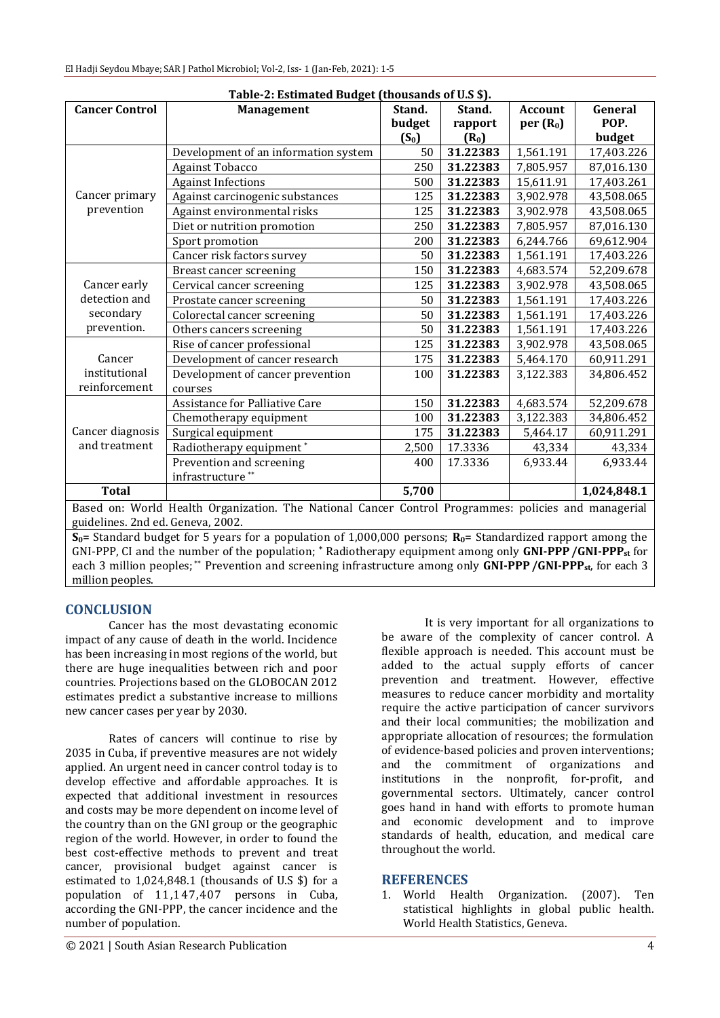| Table-2: Estimated Budget (thousands of U.S \$).                                                     |                                      |         |          |                      |             |  |  |  |
|------------------------------------------------------------------------------------------------------|--------------------------------------|---------|----------|----------------------|-------------|--|--|--|
| <b>Cancer Control</b>                                                                                | <b>Management</b>                    | Stand.  | Stand.   | <b>Account</b>       | General     |  |  |  |
|                                                                                                      |                                      | budget  | rapport  | per(R <sub>0</sub> ) | POP.        |  |  |  |
|                                                                                                      |                                      | $(S_0)$ | $(R_0)$  |                      | budget      |  |  |  |
|                                                                                                      | Development of an information system | 50      | 31.22383 | 1,561.191            | 17,403.226  |  |  |  |
|                                                                                                      | <b>Against Tobacco</b>               | 250     | 31.22383 | 7,805.957            | 87,016.130  |  |  |  |
|                                                                                                      | <b>Against Infections</b>            | 500     | 31.22383 | 15,611.91            | 17,403.261  |  |  |  |
| Cancer primary                                                                                       | Against carcinogenic substances      | 125     | 31.22383 | 3,902.978            | 43,508.065  |  |  |  |
| prevention                                                                                           | Against environmental risks          | 125     | 31.22383 | 3,902.978            | 43,508.065  |  |  |  |
|                                                                                                      | Diet or nutrition promotion          | 250     | 31.22383 | 7,805.957            | 87,016.130  |  |  |  |
|                                                                                                      | Sport promotion                      | 200     | 31.22383 | 6,244.766            | 69,612.904  |  |  |  |
|                                                                                                      | Cancer risk factors survey           | 50      | 31.22383 | 1,561.191            | 17,403.226  |  |  |  |
|                                                                                                      | Breast cancer screening              | 150     | 31.22383 | 4,683.574            | 52,209.678  |  |  |  |
| Cancer early                                                                                         | Cervical cancer screening            | 125     | 31.22383 | 3,902.978            | 43,508.065  |  |  |  |
| detection and                                                                                        | Prostate cancer screening            | 50      | 31.22383 | 1,561.191            | 17,403.226  |  |  |  |
| secondary                                                                                            | Colorectal cancer screening          | 50      | 31.22383 | 1,561.191            | 17,403.226  |  |  |  |
| prevention.                                                                                          | Others cancers screening             | 50      | 31.22383 | 1,561.191            | 17,403.226  |  |  |  |
|                                                                                                      | Rise of cancer professional          | 125     | 31.22383 | 3,902.978            | 43,508.065  |  |  |  |
| Cancer                                                                                               | Development of cancer research       | 175     | 31.22383 | 5,464.170            | 60,911.291  |  |  |  |
| institutional                                                                                        | Development of cancer prevention     | 100     | 31.22383 | 3,122.383            | 34,806.452  |  |  |  |
| reinforcement                                                                                        | courses                              |         |          |                      |             |  |  |  |
|                                                                                                      | Assistance for Palliative Care       | 150     | 31.22383 | 4,683.574            | 52,209.678  |  |  |  |
|                                                                                                      | Chemotherapy equipment               | 100     | 31.22383 | 3,122.383            | 34,806.452  |  |  |  |
| Cancer diagnosis                                                                                     | Surgical equipment                   | 175     | 31.22383 | 5,464.17             | 60,911.291  |  |  |  |
| and treatment                                                                                        | Radiotherapy equipment*              | 2,500   | 17.3336  | 43,334               | 43,334      |  |  |  |
|                                                                                                      | Prevention and screening             | 400     | 17.3336  | 6,933.44             | 6,933.44    |  |  |  |
|                                                                                                      | infrastructure <sup>**</sup>         |         |          |                      |             |  |  |  |
| <b>Total</b>                                                                                         |                                      | 5,700   |          |                      | 1,024,848.1 |  |  |  |
| Based on: World Health Organization. The National Cancer Control Programmes: policies and managerial |                                      |         |          |                      |             |  |  |  |
| guidelines. 2nd ed. Geneva, 2002.                                                                    |                                      |         |          |                      |             |  |  |  |

**S0**= Standard budget for 5 years for a population of 1,000,000 persons; **R0**= Standardized rapport among the GNI-PPP, CI and the number of the population; **\*** Radiotherapy equipment among only **GNI-PPP/GNI-PPPst** for each 3 million peoples; \*\* Prevention and screening infrastructure among only **GNI-PPP** /**GNI-PPP**<sub>st</sub>, for each 3 million peoples.

## **CONCLUSION**

Cancer has the most devastating economic impact of any cause of death in the world. Incidence has been increasing in most regions of the world, but there are huge inequalities between rich and poor countries. Projections based on the GLOBOCAN 2012 estimates predict a substantive increase to millions new cancer cases per year by 2030.

Rates of cancers will continue to rise by 2035 in Cuba, if preventive measures are not widely applied. An urgent need in cancer control today is to develop effective and affordable approaches. It is expected that additional investment in resources and costs may be more dependent on income level of the country than on the GNI group or the geographic region of the world. However, in order to found the best cost-effective methods to prevent and treat cancer, provisional budget against cancer is estimated to 1,024,848.1 (thousands of U.S \$) for a population of 11,147,407 persons in Cuba, according the GNI-PPP, the cancer incidence and the number of population.

It is very important for all organizations to be aware of the complexity of cancer control. A flexible approach is needed. This account must be added to the actual supply efforts of cancer prevention and treatment. However, effective measures to reduce cancer morbidity and mortality require the active participation of cancer survivors and their local communities; the mobilization and appropriate allocation of resources; the formulation of evidence-based policies and proven interventions; and the commitment of organizations and institutions in the nonprofit, for-profit, and governmental sectors. Ultimately, cancer control goes hand in hand with efforts to promote human and economic development and to improve standards of health, education, and medical care throughout the world.

### **REFERENCES**

1. World Health Organization. (2007). Ten statistical highlights in global public health. World Health Statistics, Geneva.